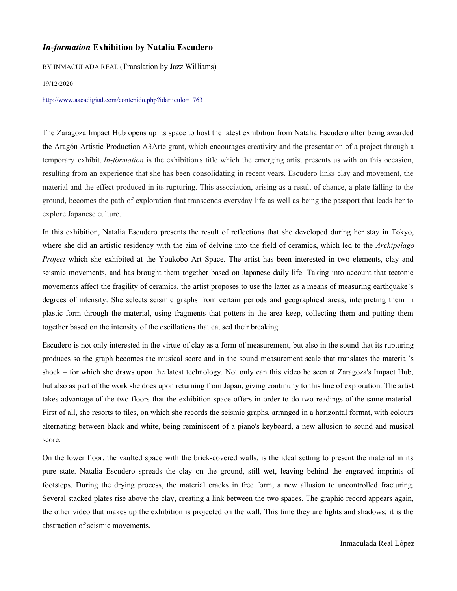## *In-formation* **Exhibition by Natalia Escudero**

BY INMACULADA REAL (Translation by Jazz Williams)

19/12/2020

## <http://www.aacadigital.com/contenido.php?idarticulo=1763>

The Zaragoza Impact Hub opens up its space to host the latest exhibition from Natalia Escudero after being awarded the Aragón Artistic Production A3Arte grant, which encourages creativity and the presentation of a project through a temporary exhibit. *In-formation* is the exhibition's title which the emerging artist presents us with on this occasion, resulting from an experience that she has been consolidating in recent years. Escudero links clay and movement, the material and the effect produced in its rupturing. This association, arising as a result of chance, a plate falling to the ground, becomes the path of exploration that transcends everyday life as well as being the passport that leads her to explore Japanese culture.

In this exhibition, Natalia Escudero presents the result of reflections that she developed during her stay in Tokyo, where she did an artistic residency with the aim of delving into the field of ceramics, which led to the *Archipelago Project* which she exhibited at the Youkobo Art Space. The artist has been interested in two elements, clay and seismic movements, and has brought them together based on Japanese daily life. Taking into account that tectonic movements affect the fragility of ceramics, the artist proposes to use the latter as a means of measuring earthquake's degrees of intensity. She selects seismic graphs from certain periods and geographical areas, interpreting them in plastic form through the material, using fragments that potters in the area keep, collecting them and putting them together based on the intensity of the oscillations that caused their breaking.

Escudero is not only interested in the virtue of clay as a form of measurement, but also in the sound that its rupturing produces so the graph becomes the musical score and in the sound measurement scale that translates the material's shock – for which she draws upon the latest technology. Not only can this video be seen at Zaragoza's Impact Hub, but also as part of the work she does upon returning from Japan, giving continuity to this line of exploration. The artist takes advantage of the two floors that the exhibition space offers in order to do two readings of the same material. First of all, she resorts to tiles, on which she records the seismic graphs, arranged in a horizontal format, with colours alternating between black and white, being reminiscent of a piano's keyboard, a new allusion to sound and musical score.

On the lower floor, the vaulted space with the brick-covered walls, is the ideal setting to present the material in its pure state. Natalia Escudero spreads the clay on the ground, still wet, leaving behind the engraved imprints of footsteps. During the drying process, the material cracks in free form, a new allusion to uncontrolled fracturing. Several stacked plates rise above the clay, creating a link between the two spaces. The graphic record appears again, the other video that makes up the exhibition is projected on the wall. This time they are lights and shadows; it is the abstraction of seismic movements.